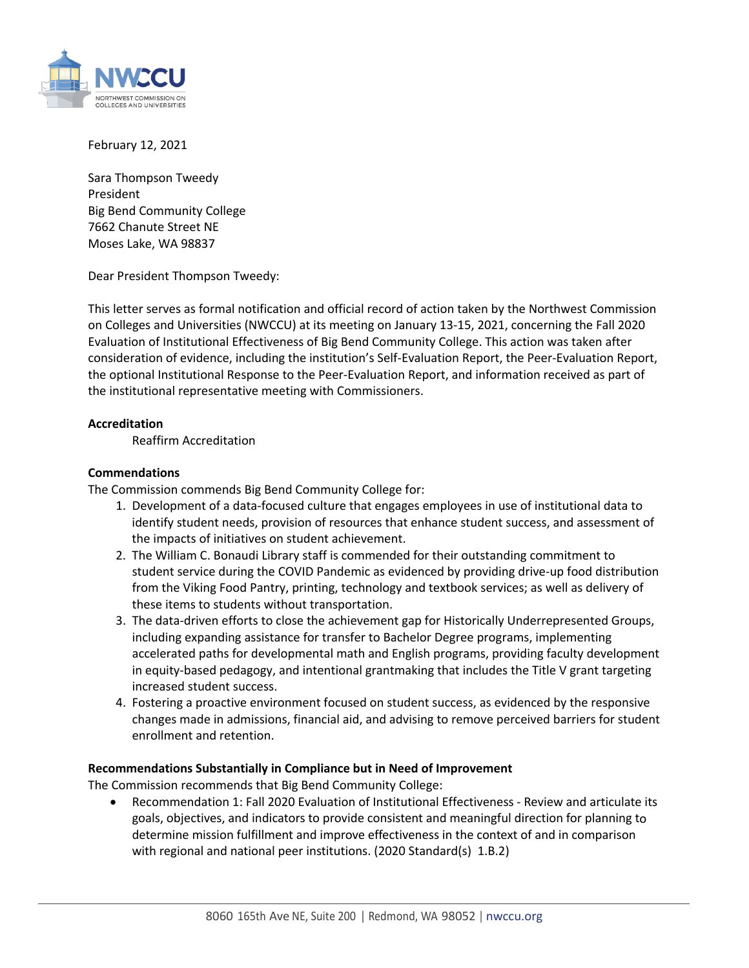

February 12, 2021

Sara Thompson Tweedy President Big Bend Community College 7662 Chanute Street NE Moses Lake, WA 98837

Dear President Thompson Tweedy:

This letter serves as formal notification and official record of action taken by the Northwest Commission on Colleges and Universities (NWCCU) at its meeting on January 13-15, 2021, concerning the Fall 2020 Evaluation of Institutional Effectiveness of Big Bend Community College. This action was taken after consideration of evidence, including the institution's Self-Evaluation Report, the Peer-Evaluation Report, the optional Institutional Response to the Peer-Evaluation Report, and information received as part of the institutional representative meeting with Commissioners.

## **Accreditation**

Reaffirm Accreditation

## **Commendations**

The Commission commends Big Bend Community College for:

- 1. Development of a data-focused culture that engages employees in use of institutional data to identify student needs, provision of resources that enhance student success, and assessment of the impacts of initiatives on student achievement.
- 2. The William C. Bonaudi Library staff is commended for their outstanding commitment to student service during the COVID Pandemic as evidenced by providing drive-up food distribution from the Viking Food Pantry, printing, technology and textbook services; as well as delivery of these items to students without transportation.
- 3. The data-driven efforts to close the achievement gap for Historically Underrepresented Groups, including expanding assistance for transfer to Bachelor Degree programs, implementing accelerated paths for developmental math and English programs, providing faculty development in equity-based pedagogy, and intentional grantmaking that includes the Title V grant targeting increased student success.
- 4. Fostering a proactive environment focused on student success, as evidenced by the responsive changes made in admissions, financial aid, and advising to remove perceived barriers for student enrollment and retention.

## **Recommendations Substantially in Compliance but in Need of Improvement**

The Commission recommends that Big Bend Community College:

• Recommendation 1: Fall 2020 Evaluation of Institutional Effectiveness - Review and articulate its goals, objectives, and indicators to provide consistent and meaningful direction for planning to determine mission fulfillment and improve effectiveness in the context of and in comparison with regional and national peer institutions. (2020 Standard(s) 1.B.2)